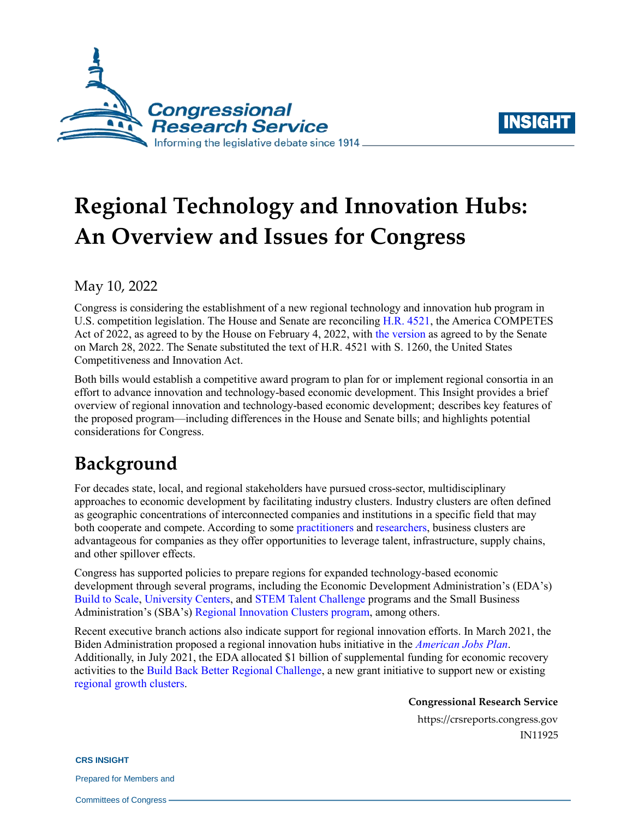



# **Regional Technology and Innovation Hubs: [An Overview and Issues for](https://crsreports.congress.gov/product/pdf/IF/IF10965) Congress**

May 10, 2022

Congress is considering the establishment of a new regional technology and innovation hub program in U.S. competition legislation. The House and Senate are reconciling [H.R. 4521,](https://www.congress.gov/bill/117th-congress/house-bill/4521/text/eh) the America COMPETES Act of 2022, as agreed to by the House on February 4, 2022, with [the version](https://www.congress.gov/bill/117th-congress/house-bill/4521/text/eas) as agreed to by the Senate on March 28, 2022. The Senate substituted the text of H.R. 4521 with [S. 1260,](http://www.congress.gov/cgi-lis/bdquery/z?d117:S.1260:) the United States Competitiveness and Innovation Act.

Both bills would establish a competitive award program to plan for or implement regional consortia in an effort to advance innovation and technology-based economic development. This Insight provides a brief overview of regional innovation and technology-based economic development; describes key features of the proposed program—including differences in the House and Senate bills; and highlights potential considerations for Congress.

## **Background**

For decades state, local, and regional stakeholders have pursued cross-sector, multidisciplinary approaches to economic development by facilitating industry clusters. Industry clusters are often defined as geographic concentrations of interconnected companies and institutions in a specific field that may both cooperate and compete. According to some [practitioners](https://science.house.gov/imo/media/doc/Berglund%20Testimony.pdf) and [researchers,](https://hbr.org/1998/11/clusters-and-the-new-economics-of-competition) business clusters are advantageous for companies as they offer opportunities to leverage talent, infrastructure, supply chains, and other spillover effects.

Congress has supported policies to prepare regions for expanded technology-based economic development through several programs, including the Economic Development Administration's (EDA's) [Build to Scale,](https://eda.gov/oie/buildtoscale/) [University Centers,](https://eda.gov/programs/university-centers/) an[d STEM Talent Challenge](https://eda.gov/oie/stem/) programs and the Small Business Administration's (SBA's) [Regional Innovation Clusters program,](https://www.sba.gov/local-assistance/regional-innovation-clusters) among others.

Recent executive branch actions also indicate support for regional innovation efforts. In March 2021, the Biden Administration proposed a regional innovation hubs initiative in the *[American Jobs Plan](https://www.whitehouse.gov/briefing-room/statements-releases/2021/03/31/fact-sheet-the-american-jobs-plan/)*. Additionally, in July 2021, the EDA allocated \$1 billion of supplemental funding for economic recovery activities to the [Build Back Better Regional Challenge,](https://eda.gov/arpa/build-back-better/) a new grant initiative to support new or existing [regional growth clusters.](https://eda.gov/performance/key-definitions/)

**Congressional Research Service**

https://crsreports.congress.gov IN11925

**CRS INSIGHT**

Prepared for Members and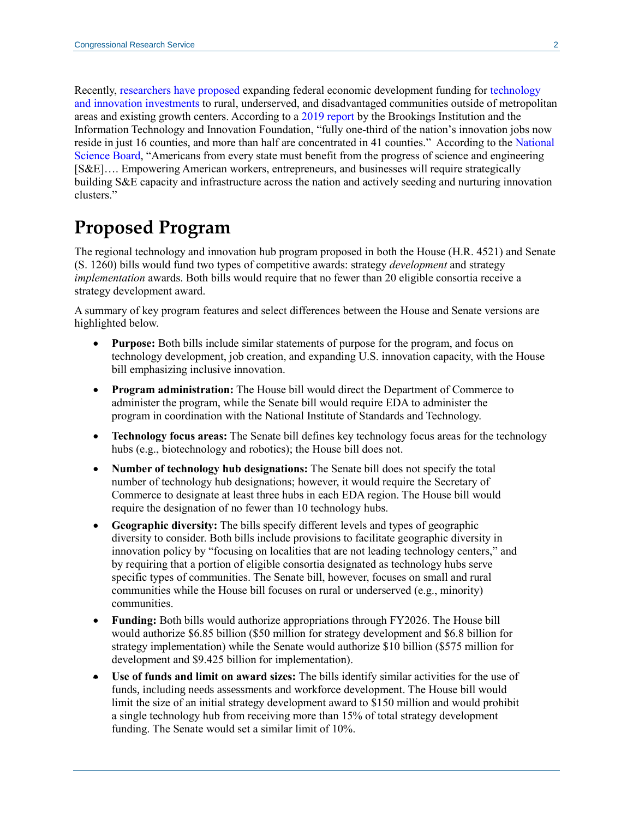Recently, [researchers have proposed](https://www.brookings.edu/blog/the-avenue/2021/08/11/congress-needs-to-prioritize-inclusion-in-our-slumping-innovation-system) expanding federal economic development funding for [technology](https://www.americanprogress.org/issues/economy/reports/2020/09/21/490411/path-rural-resilience-america/)  [and innovation investments](https://www.americanprogress.org/issues/economy/reports/2020/09/21/490411/path-rural-resilience-america/) to rural, underserved, and disadvantaged communities outside of metropolitan areas and existing growth centers. According to a [2019 report](https://www.brookings.edu/wp-content/uploads/2019/12/Full-Report-Growth-Centers_PDF_BrookingsMetro-BassCenter-ITIF.pdf) by the Brookings Institution and the Information Technology and Innovation Foundation, "fully one-third of the nation's innovation jobs now reside in just 16 counties, and more than half are concentrated in 41 counties." According to the [National](https://www.nsf.gov/nsb/publications/2020/nsb202015.pdf)  [Science](https://www.nsf.gov/nsb/publications/2020/nsb202015.pdf) Board, "Americans from every state must benefit from the progress of science and engineering [S&E]…. Empowering American workers, entrepreneurs, and businesses will require strategically building S&E capacity and infrastructure across the nation and actively seeding and nurturing innovation clusters."

### **Proposed Program**

The regional technology and innovation hub program proposed in both the House [\(H.R. 4521\)](http://www.congress.gov/cgi-lis/bdquery/z?d117:H.R.4521:) and Senate [\(S. 1260\)](http://www.congress.gov/cgi-lis/bdquery/z?d117:S.1260:) bills would fund two types of competitive awards: strategy *development* and strategy *implementation* awards. Both bills would require that no fewer than 20 eligible consortia receive a strategy development award.

A summary of key program features and select differences between the House and Senate versions are highlighted below.

- **Purpose:** Both bills include similar statements of purpose for the program, and focus on technology development, job creation, and expanding U.S. innovation capacity, with the House bill emphasizing inclusive innovation.
- **Program administration:** The House bill would direct the Department of Commerce to administer the program, while the Senate bill would require EDA to administer the program in coordination with the National Institute of Standards and Technology.
- **Technology focus areas:** The Senate bill defines key technology focus areas for the technology hubs (e.g., biotechnology and robotics); the House bill does not.
- **Number of technology hub designations:** The Senate bill does not specify the total number of technology hub designations; however, it would require the Secretary of Commerce to designate at least three hubs in each EDA region. The House bill would require the designation of no fewer than 10 technology hubs.
- **Geographic diversity:** The bills specify different levels and types of geographic diversity to consider. Both bills include provisions to facilitate geographic diversity in innovation policy by "focusing on localities that are not leading technology centers," and by requiring that a portion of eligible consortia designated as technology hubs serve specific types of communities. The Senate bill, however, focuses on small and rural communities while the House bill focuses on rural or underserved (e.g., minority) communities.
- **Funding:** Both bills would authorize appropriations through FY2026. The House bill would authorize \$6.85 billion (\$50 million for strategy development and \$6.8 billion for strategy implementation) while the Senate would authorize \$10 billion (\$575 million for development and \$9.425 billion for implementation).
- **Use of funds and limit on award sizes:** The bills identify similar activities for the use of funds, including needs assessments and workforce development. The House bill would limit the size of an initial strategy development award to \$150 million and would prohibit a single technology hub from receiving more than 15% of total strategy development funding. The Senate would set a similar limit of 10%.